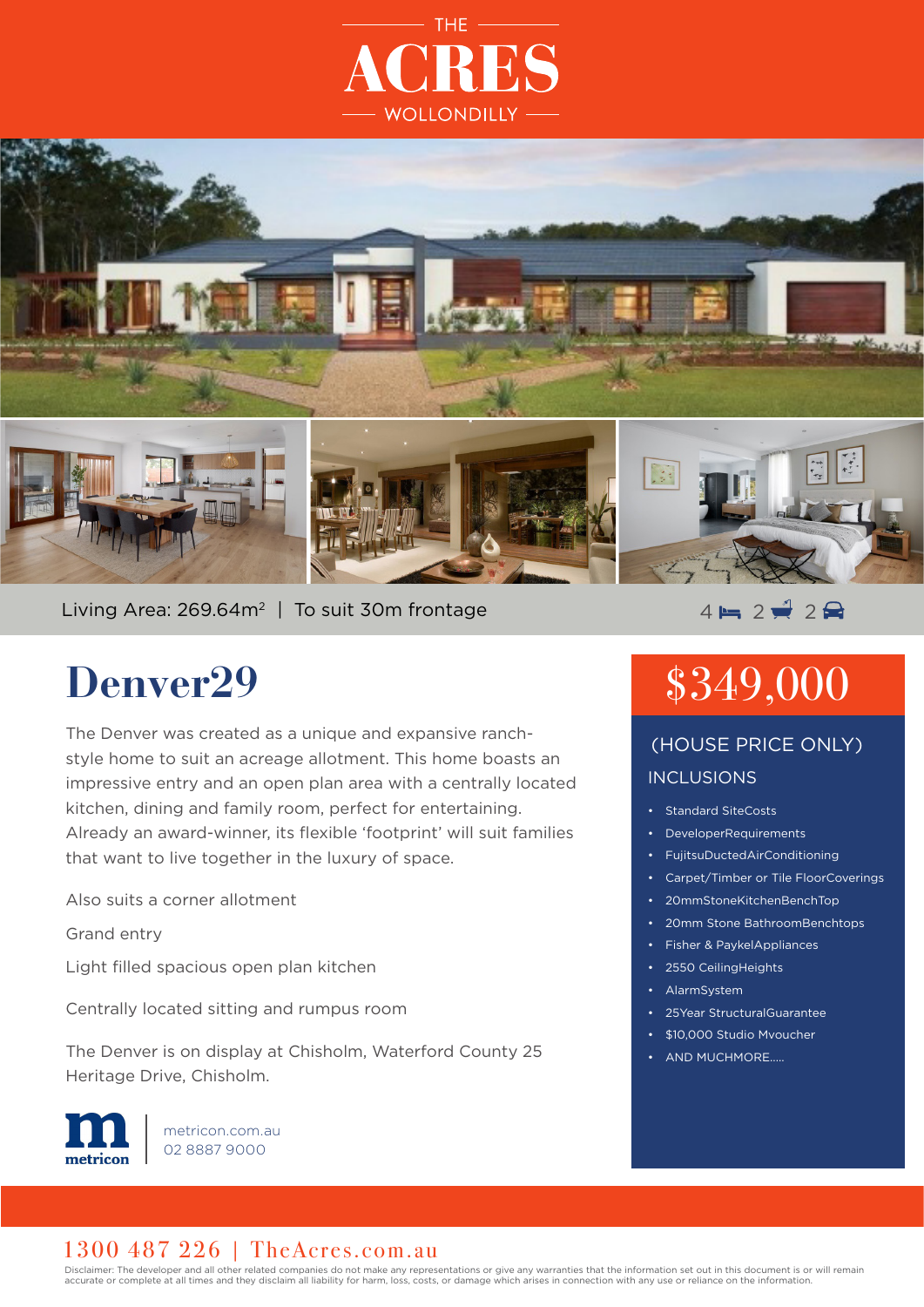



Living Area: 269.64m<sup>2</sup> | To suit 30m frontage  $\overline{4}$   $\overline{4}$  2  $\overline{4}$  2  $\overline{4}$ 

## **Denver29**

The Denver was created as a unique and expansive ranchstyle home to suit an acreage allotment. This home boasts an impressive entry and an open plan area with a centrally located kitchen, dining and family room, perfect for entertaining. Already an award-winner, its flexible 'footprint' will suit families that want to live together in the luxury of space.

Also suits a corner allotment

Grand entry

Light filled spacious open plan kitchen

Centrally located sitting and rumpus room

The Denver is on display at Chisholm, Waterford County 25 Heritage Drive, Chisholm.



metricon.com.au 02 8887 9000

# \$349,000

#### INCLUSIONS (HOUSE PRICE ONLY)

- Standard SiteCosts
- DeveloperRequirements
- FujitsuDuctedAirConditioning
- Carpet/Timber or Tile FloorCoverings
- 20mmStoneKitchenBenchTop
- 20mm Stone BathroomBenchtops
- Fisher & PaykelAppliances
- 2550 CeilingHeights
- AlarmSystem
- 25Year StructuralGuarantee
- \$10,000 Studio Mvoucher
- AND MUCHMORE.....

#### 1300 487 226 | TheAcres.com.au

Disclaimer: The developer and all other related companies do not make any representations or give any warranties that the information set out in this document is or will remain accurate or complete at all times and they disclaim all liability for harm, loss, costs, or damage which arises in connection with any use or reliance on the information.